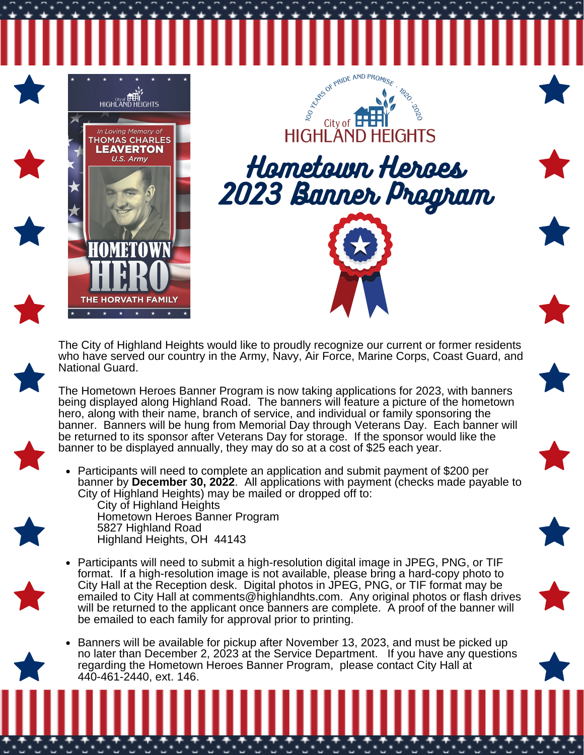

The City of Highland Heights would like to proudly recognize our current or former residents who have served our country in the Army, Navy, Air Force, Marine Corps, Coast Guard, and National Guard.

The Hometown Heroes Banner Program is now taking applications for 2023, with banners being displayed along Highland Road. The banners will feature a picture of the hometown hero, along with their name, branch of service, and individual or family sponsoring the banner. Banners will be hung from Memorial Day through Veterans Day. Each banner will be returned to its sponsor after Veterans Day for storage. If the sponsor would like the banner to be displayed annually, they may do so at a cost of \$25 each year.

Participants will need to complete an application and submit payment of \$200 per  $\bullet$ banner by **December 30, 2022**. All applications with payment (checks made payable to City of Highland Heights) may be mailed or dropped off to:

City of Highland Heights Hometown Heroes Banner Program 5827 Highland Road Highland Heights, OH 44143

- 
- Participants will need to submit a high-resolution digital image in JPEG, PNG, or TIF format. If a high-resolution image is not available, please bring a hard-copy photo to City Hall at the Reception desk. Digital photos in JPEG, PNG, or TIF format may be emailed to City Hall at [comments@highlandhts.com.](mailto:comments@highlandhts.com) Any original photos or flash drives will be returned to the applicant once banners are complete. A proof of the banner will be emailed to each family for approval prior to printing.
- Banners will be available for pickup after November 13, 2023, and must be picked up no later than December 2, 2023 at the Service Department. If you have any questions regarding the Hometown Heroes Banner Program, please contact City Hall at 440-461-2440, ext. 146.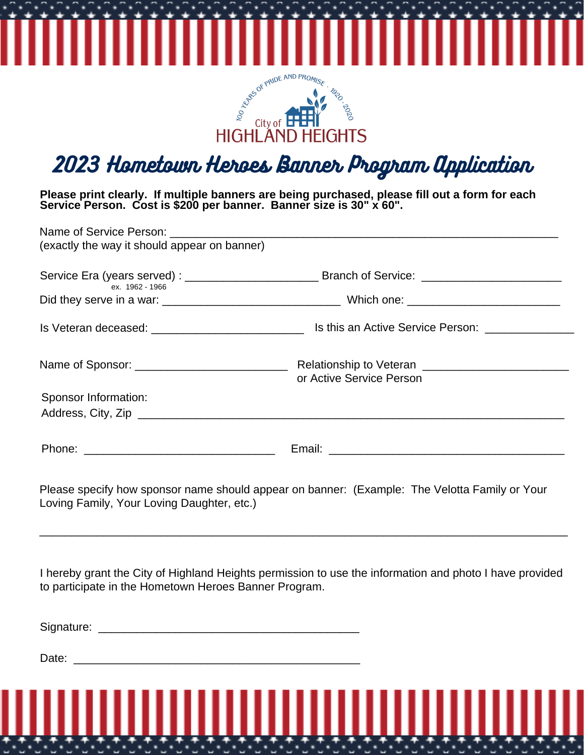

2023 Hometown Heroes Banner Program Application

**Please print clearly. If multiple banners are being purchased, please fill out a form for each Service Person. Cost is \$200 per banner. Banner size is 30" x 60".**

| (exactly the way it should appear on banner)       |                                                                                                      |
|----------------------------------------------------|------------------------------------------------------------------------------------------------------|
| ex. 1962 - 1966                                    | Service Era (years served): ______________________________Branch of Service: _______________________ |
|                                                    |                                                                                                      |
| Is Veteran deceased: _____________________________ | Is this an Active Service Person:                                                                    |
|                                                    | or Active Service Person                                                                             |
| Sponsor Information:                               |                                                                                                      |
|                                                    |                                                                                                      |
|                                                    |                                                                                                      |

Please specify how sponsor name should appear on banner: (Example: The Velotta Family or Your Loving Family, Your Loving Daughter, etc.)

I hereby grant the City of Highland Heights permission to use the information and photo I have provided to participate in the Hometown Heroes Banner Program.

\_\_\_\_\_\_\_\_\_\_\_\_\_\_\_\_\_\_\_\_\_\_\_\_\_\_\_\_\_\_\_\_\_\_\_\_\_\_\_\_\_\_\_\_\_\_\_\_\_\_\_\_\_\_\_\_\_\_\_\_\_\_\_\_\_\_\_\_\_\_\_\_\_\_\_\_\_\_\_\_\_\_\_

Signature: \_\_\_\_\_\_\_\_\_\_\_\_\_\_\_\_\_\_\_\_\_\_\_\_\_\_\_\_\_\_\_\_\_\_\_\_\_\_\_\_\_

Date:  $\frac{1}{\sqrt{1-\frac{1}{2}}}$